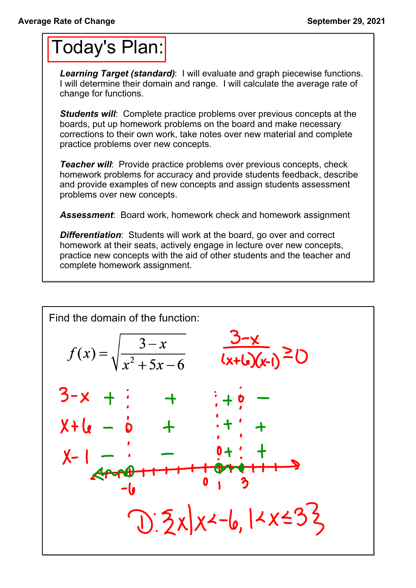## Today's Plan:

*Learning Target (standard)*: I will evaluate and graph piecewise functions. I will determine their domain and range. I will calculate the average rate of change for functions.

**Students will:** Complete practice problems over previous concepts at the boards, put up homework problems on the board and make necessary corrections to their own work, take notes over new material and complete practice problems over new concepts.

*Teacher will:* Provide practice problems over previous concepts, check homework problems for accuracy and provide students feedback, describe and provide examples of new concepts and assign students assessment problems over new concepts.

*Assessment*: Board work, homework check and homework assignment

*Differentiation*: Students will work at the board, go over and correct homework at their seats, actively engage in lecture over new concepts, practice new concepts with the aid of other students and the teacher and complete homework assignment.

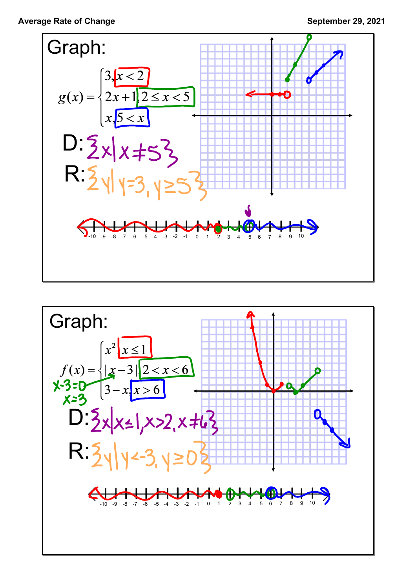

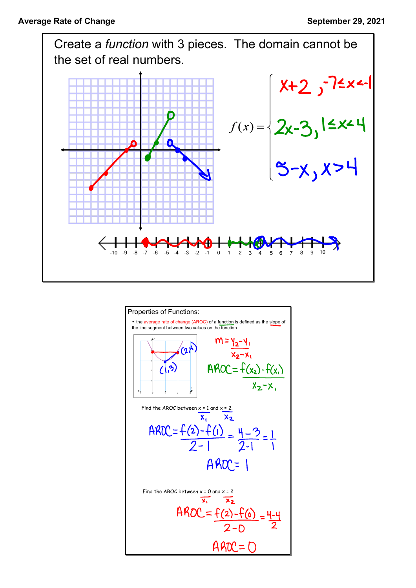